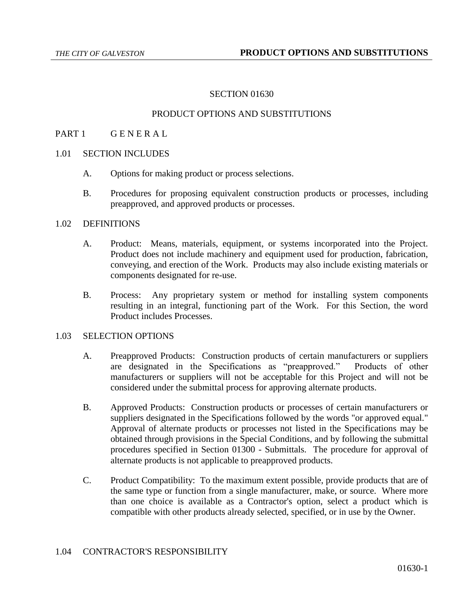### SECTION 01630

## PRODUCT OPTIONS AND SUBSTITUTIONS

### PART 1 GENERAL

## 1.01 SECTION INCLUDES

- A. Options for making product or process selections.
- B. Procedures for proposing equivalent construction products or processes, including preapproved, and approved products or processes.

## 1.02 DEFINITIONS

- A. Product: Means, materials, equipment, or systems incorporated into the Project. Product does not include machinery and equipment used for production, fabrication, conveying, and erection of the Work. Products may also include existing materials or components designated for re-use.
- B. Process: Any proprietary system or method for installing system components resulting in an integral, functioning part of the Work. For this Section, the word Product includes Processes.

## 1.03 SELECTION OPTIONS

- A. Preapproved Products: Construction products of certain manufacturers or suppliers are designated in the Specifications as "preapproved." Products of other manufacturers or suppliers will not be acceptable for this Project and will not be considered under the submittal process for approving alternate products.
- B. Approved Products: Construction products or processes of certain manufacturers or suppliers designated in the Specifications followed by the words "or approved equal." Approval of alternate products or processes not listed in the Specifications may be obtained through provisions in the Special Conditions, and by following the submittal procedures specified in Section 01300 - Submittals. The procedure for approval of alternate products is not applicable to preapproved products.
- C. Product Compatibility: To the maximum extent possible, provide products that are of the same type or function from a single manufacturer, make, or source. Where more than one choice is available as a Contractor's option, select a product which is compatible with other products already selected, specified, or in use by the Owner.

#### 1.04 CONTRACTOR'S RESPONSIBILITY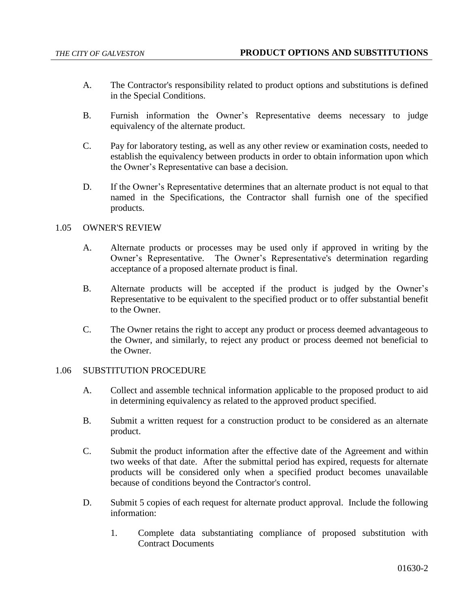- A. The Contractor's responsibility related to product options and substitutions is defined in the Special Conditions.
- B. Furnish information the Owner's Representative deems necessary to judge equivalency of the alternate product.
- C. Pay for laboratory testing, as well as any other review or examination costs, needed to establish the equivalency between products in order to obtain information upon which the Owner's Representative can base a decision.
- D. If the Owner's Representative determines that an alternate product is not equal to that named in the Specifications, the Contractor shall furnish one of the specified products.

# 1.05 OWNER'S REVIEW

- A. Alternate products or processes may be used only if approved in writing by the Owner's Representative. The Owner's Representative's determination regarding acceptance of a proposed alternate product is final.
- B. Alternate products will be accepted if the product is judged by the Owner's Representative to be equivalent to the specified product or to offer substantial benefit to the Owner.
- C. The Owner retains the right to accept any product or process deemed advantageous to the Owner, and similarly, to reject any product or process deemed not beneficial to the Owner.

# 1.06 SUBSTITUTION PROCEDURE

- A. Collect and assemble technical information applicable to the proposed product to aid in determining equivalency as related to the approved product specified.
- B. Submit a written request for a construction product to be considered as an alternate product.
- C. Submit the product information after the effective date of the Agreement and within two weeks of that date. After the submittal period has expired, requests for alternate products will be considered only when a specified product becomes unavailable because of conditions beyond the Contractor's control.
- D. Submit 5 copies of each request for alternate product approval. Include the following information:
	- 1. Complete data substantiating compliance of proposed substitution with Contract Documents